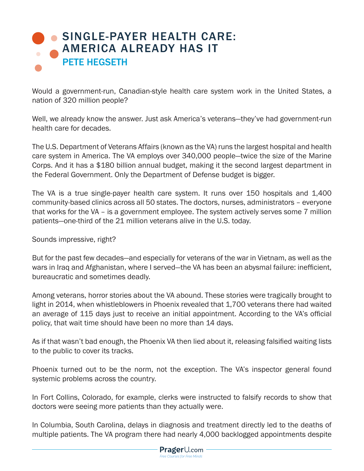## [SINGLE-PAYER HEALTH CARE:](https://www.prageru.com/courses/political-science/single-payer-health-care-america-already-has-it) AMERICA ALREADY HAS IT PETE HEGSETH

Would a government-run, Canadian-style health care system work in the United States, a nation of 320 million people?

Well, we already know the answer. Just ask America's veterans—they've had government-run health care for decades.

The U.S. Department of Veterans Affairs (known as the VA) runs the largest hospital and health care system in America. The VA employs over 340,000 people—twice the size of the Marine Corps. And it has a \$180 billion annual budget, making it the second largest department in the Federal Government. Only the Department of Defense budget is bigger.

The VA is a true single-payer health care system. It runs over 150 hospitals and 1,400 community-based clinics across all 50 states. The doctors, nurses, administrators – everyone that works for the VA – is a government employee. The system actively serves some 7 million patients—one-third of the 21 million veterans alive in the U.S. today.

Sounds impressive, right?

But for the past few decades—and especially for veterans of the war in Vietnam, as well as the wars in Iraq and Afghanistan, where I served—the VA has been an abysmal failure: inefficient, bureaucratic and sometimes deadly.

Among veterans, horror stories about the VA abound. These stories were tragically brought to light in 2014, when whistleblowers in Phoenix revealed that 1,700 veterans there had waited an average of 115 days just to receive an initial appointment. According to the VA's official policy, that wait time should have been no more than 14 days.

As if that wasn't bad enough, the Phoenix VA then lied about it, releasing falsified waiting lists to the public to cover its tracks.

Phoenix turned out to be the norm, not the exception. The VA's inspector general found systemic problems across the country.

In Fort Collins, Colorado, for example, clerks were instructed to falsify records to show that doctors were seeing more patients than they actually were.

In Columbia, South Carolina, delays in diagnosis and treatment directly led to the deaths of multiple patients. The VA program there had nearly 4,000 backlogged appointments despite